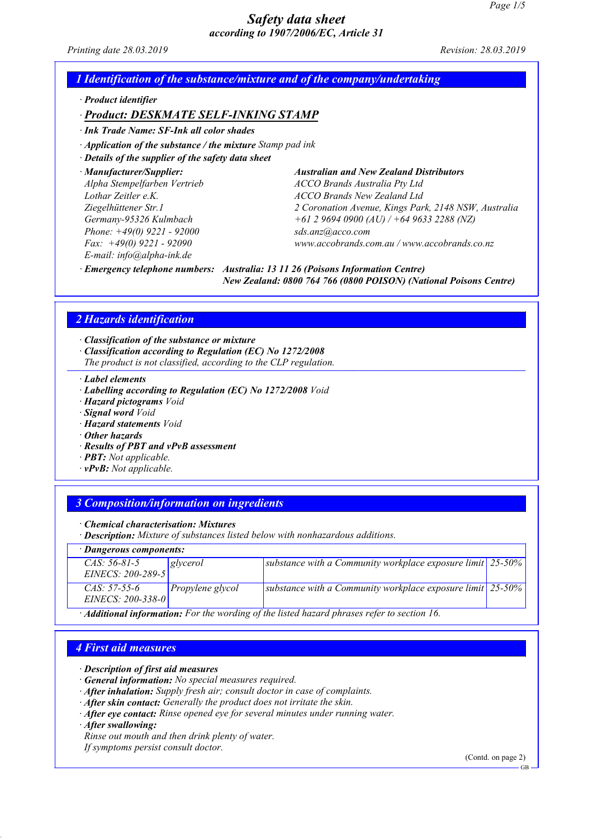Printing date 28.03.2019 **Revision: 28.03.2019** Revision: 28.03.2019

# 1 Identification of the substance/mixture and of the company/undertaking

· Product identifier

# · *Product: DESKMATE SELF-INKING STAMP*

· *Ink* Trade *N*ame: SF-Ink all color shades

 $\cdot$  Application of the substance / the mixture Stamp pad ink

· Details of the supplier of the safety data sheet

· Manufacturer/Supplier: *Australian and New Zealand Distributors* Phone: +49(0) 9221 - 92000 *sds.anz@acco.com E-*mail: info@alpha-ink.de

Alpha Stempelfarben Vertrieb *ACCO Brands Australia Pty Ltd* Lothar Zeitler e.K. *ACCO Brands New Zealand Ltd* Ziegelhüttener Str.1 *2 Coronation Avenue, Kings Park, 2148 NSW, Australia* Germany-95326 Kulmbach *+61 2 9694 0900 (AU) / +64 9633 2288 (NZ)* Fax: +49(0) 9221 - 92090 *www.accobrands.com.au / www.accobrands.co.nz*

· *Emergency telephone numbers: Australia: 13 11 26 (Poisons Information Centre) New Zealand: 0800 764 766 (0800 POISON) (National Poisons Centre)*

# 2 Hazards identification

· Classification of the substance or mixture

- · Classification according to Regulation (EC) No 1272/2008
- The product is not classified, according to the CLP regulation.

· Label elements

- · Labelling according to Regulation (EC) No 1272/2008 Void
- · Hazard pictograms Void
- · Signal word Void
- · Hazard statements Void
- · Other hazards
- · Results of PBT and vPvB assessment
- · PBT: Not applicable.
- $\cdot$  **vPvB:** Not applicable.

### 3 Composition/information on ingredients

· Chemical characterisation: Mixtures

· Description: Mixture of substances listed below with nonhazardous additions.

| · Dangerous components:                                                                                  |                  |                                                                 |  |  |  |
|----------------------------------------------------------------------------------------------------------|------------------|-----------------------------------------------------------------|--|--|--|
| $CAS: 56-81-5$<br>EINECS: 200-289-5                                                                      | glycerol         | substance with a Community workplace exposure limit $ 25-50\% $ |  |  |  |
| $CAS. 57-55-6$<br>EINECS: $200 - 338 - 0$                                                                | Propylene glycol | substance with a Community workplace exposure limit $ 25-50\% $ |  |  |  |
| $\cdot$ <b>Additional information:</b> For the wording of the listed hazard phrases refer to section 16. |                  |                                                                 |  |  |  |

### 4 First aid measures

- · Description of first aid measures
- · General information: No special measures required.
- · After inhalation: Supply fresh air; consult doctor in case of complaints.
- · After skin contact: Generally the product does not irritate the skin.
- · After eye contact: Rinse opened eye for several minutes under running water.
- · After swallowing:

48.0

Rinse out mouth and then drink plenty of water.

If symptoms persist consult doctor.

(Contd. on page 2)

GB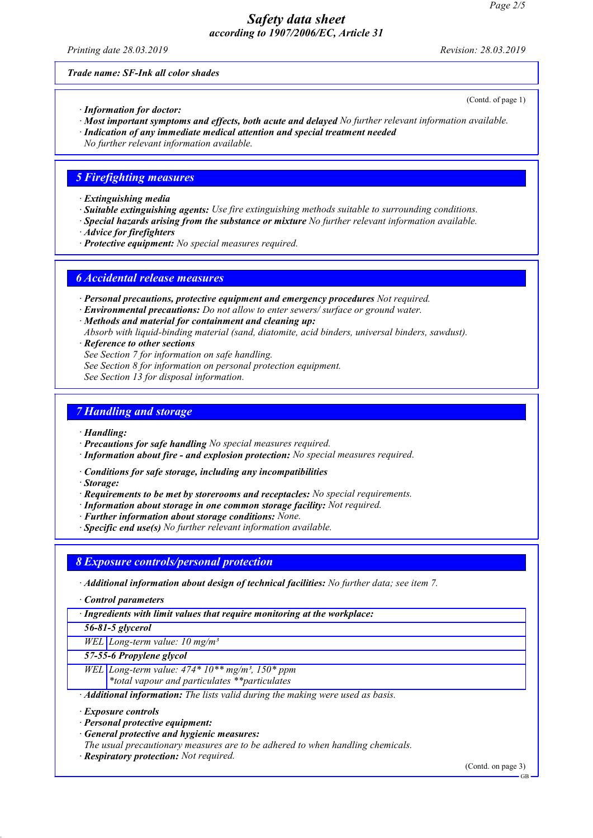Printing date 28.03.2019 **Revision: 28.03.2019** Revision: 28.03.2019

(Contd. of page 1)

Trade name: SF-Ink all color shades

- · Information for doctor:
- · Most important symptoms and effects, both acute and delayed No further relevant information available.
- · Indication of any immediate medical attention and special treatment needed
- No further relevant information available.

#### 5 Firefighting measures

- · Extinguishing media
- · Suitable extinguishing agents: Use fire extinguishing methods suitable to surrounding conditions.
- · Special hazards arising from the substance or mixture No further relevant information available.
- · Advice for firefighters
- · Protective equipment: No special measures required.

### 6 Accidental release measures

- · Personal precautions, protective equipment and emergency procedures Not required.
- · Environmental precautions: Do not allow to enter sewers/ surface or ground water.
- · Methods and material for containment and cleaning up:
- Absorb with liquid-binding material (sand, diatomite, acid binders, universal binders, sawdust).
- · Reference to other sections
- See Section 7 for information on safe handling.
- See Section 8 for information on personal protection equipment.
- See Section 13 for disposal information.

### 7 Handling and storage

- · Handling:
- · Precautions for safe handling No special measures required.
- · Information about fire and explosion protection: No special measures required.
- · Conditions for safe storage, including any incompatibilities
- · Storage:
- · Requirements to be met by storerooms and receptacles: No special requirements.
- · Information about storage in one common storage facility: Not required.
- · Further information about storage conditions: None.
- · Specific end use(s) No further relevant information available.

#### 8 Exposure controls/personal protection

- · Additional information about design of technical facilities: No further data; see item 7.
- · Control parameters
- · Ingredients with limit values that require monitoring at the workplace:
- 56-81-5 glycerol

WEL Long-term value:  $10$  mg/m<sup>3</sup>

- 57-55-6 Propylene glycol
- WEL Long-term value:  $474*10**mg/m^3$ ,  $150*ppm$ 
	- \*total vapour and particulates \*\*particulates
- · Additional information: The lists valid during the making were used as basis.
- · Exposure controls

48.0

- · Personal protective equipment:
- · General protective and hygienic measures:
- The usual precautionary measures are to be adhered to when handling chemicals.
- · Respiratory protection: Not required.

(Contd. on page 3)

GB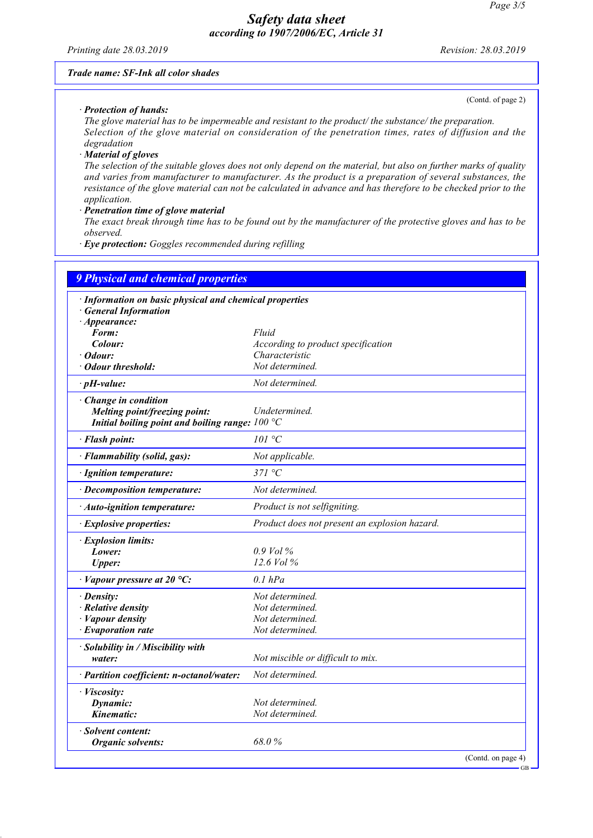Printing date 28.03.2019 Revision: 28.03.2019

#### Trade name: SF-Ink all color shades

(Contd. of page 2)

GB

· Protection of hands:

The glove material has to be impermeable and resistant to the product/ the substance/ the preparation. Selection of the glove material on consideration of the penetration times, rates of diffusion and the degradation

· Material of gloves

48.0

The selection of the suitable gloves does not only depend on the material, but also on further marks of quality and varies from manufacturer to manufacturer. As the product is a preparation of several substances, the resistance of the glove material can not be calculated in advance and has therefore to be checked prior to the application.

· Penetration time of glove material

The exact break through time has to be found out by the manufacturer of the protective gloves and has to be observed.

· Eye protection: Goggles recommended during refilling

|                                                                                  | <b>9 Physical and chemical properties</b>     |  |  |  |  |
|----------------------------------------------------------------------------------|-----------------------------------------------|--|--|--|--|
| · Information on basic physical and chemical properties<br>· General Information |                                               |  |  |  |  |
| $\cdot$ Appearance:                                                              |                                               |  |  |  |  |
| Form:                                                                            | Fluid                                         |  |  |  |  |
| Colour:                                                                          | According to product specification            |  |  |  |  |
| · Odour:                                                                         | Characteristic                                |  |  |  |  |
| • Odour threshold:                                                               | Not determined.                               |  |  |  |  |
| $\cdot$ pH-value:                                                                | Not determined.                               |  |  |  |  |
| $\cdot$ Change in condition                                                      |                                               |  |  |  |  |
| Melting point/freezing point:                                                    | Undetermined.                                 |  |  |  |  |
| Initial boiling point and boiling range: $100 °C$                                |                                               |  |  |  |  |
| · Flash point:                                                                   | 101 °C                                        |  |  |  |  |
| · Flammability (solid, gas):                                                     | Not applicable.                               |  |  |  |  |
| · Ignition temperature:                                                          | 371 °C                                        |  |  |  |  |
| · Decomposition temperature:                                                     | Not determined.                               |  |  |  |  |
| · Auto-ignition temperature:                                                     | Product is not selfigniting.                  |  |  |  |  |
| · Explosive properties:                                                          | Product does not present an explosion hazard. |  |  |  |  |
| · Explosion limits:                                                              |                                               |  |  |  |  |
| Lower:                                                                           | $0.9$ Vol %                                   |  |  |  |  |
| <b>Upper:</b>                                                                    | 12.6 Vol %                                    |  |  |  |  |
| $\cdot$ Vapour pressure at 20 °C:                                                | $0.1$ $hPa$                                   |  |  |  |  |
| · Density:                                                                       | Not determined.                               |  |  |  |  |
| $\cdot$ Relative density                                                         | Not determined.                               |  |  |  |  |
| $\cdot$ <i>Vapour density</i>                                                    | Not determined.                               |  |  |  |  |
| $\cdot$ Evaporation rate                                                         | Not determined.                               |  |  |  |  |
| · Solubility in / Miscibility with                                               |                                               |  |  |  |  |
| water:                                                                           | Not miscible or difficult to mix.             |  |  |  |  |
| · Partition coefficient: n-octanol/water:                                        | Not determined.                               |  |  |  |  |
| · Viscosity:                                                                     |                                               |  |  |  |  |
| Dynamic:                                                                         | Not determined.                               |  |  |  |  |
| Kinematic:                                                                       | Not determined.                               |  |  |  |  |
| · Solvent content:                                                               |                                               |  |  |  |  |
| <b>Organic solvents:</b>                                                         | 68.0%                                         |  |  |  |  |
|                                                                                  | (Contd. on page 4)                            |  |  |  |  |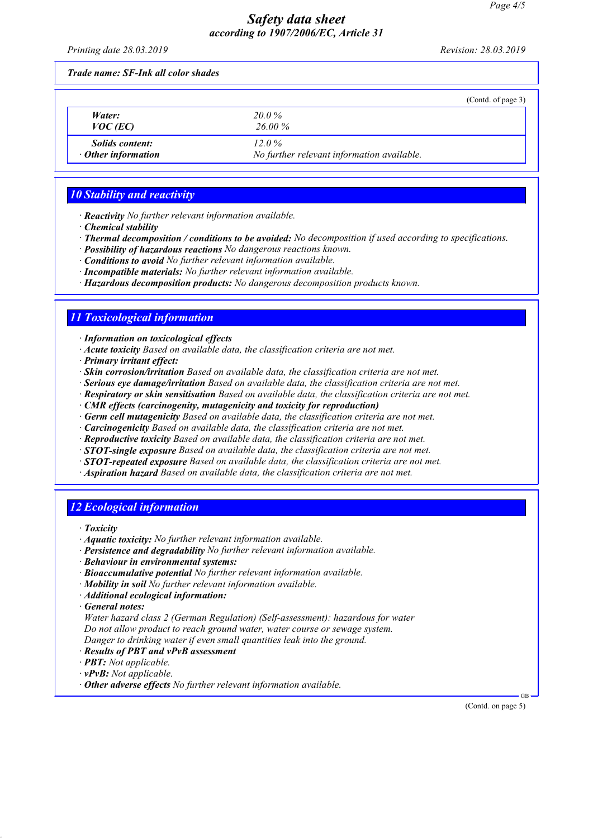Printing date 28.03.2019 **Revision: 28.03.2019** Revision: 28.03.2019

Trade name: SF-Ink all color shades

|                                                     |                                                        | (Contd. of page 3) |
|-----------------------------------------------------|--------------------------------------------------------|--------------------|
| Water:<br>$VOC$ (EC)                                | $20.0\%$<br>26.00 %                                    |                    |
| <i>Solids content:</i><br>$\cdot$ Other information | $12.0\%$<br>No further relevant information available. |                    |

# 10 Stability and reactivity

- · Reactivity No further relevant information available.
- · Chemical stability
- · Thermal decomposition / conditions to be avoided: No decomposition if used according to specifications.
- · Possibility of hazardous reactions No dangerous reactions known.
- · Conditions to avoid No further relevant information available.
- · Incompatible materials: No further relevant information available.
- · Hazardous decomposition products: No dangerous decomposition products known.

# 11 Toxicological information

· Information on toxicological effects

- · Acute toxicity Based on available data, the classification criteria are not met.
- · Primary irritant effect:
- · Skin corrosion/irritation Based on available data, the classification criteria are not met.
- · Serious eye damage/irritation Based on available data, the classification criteria are not met.
- · Respiratory or skin sensitisation Based on available data, the classification criteria are not met.
- · CMR effects (carcinogenity, mutagenicity and toxicity for reproduction)
- · Germ cell mutagenicity Based on available data, the classification criteria are not met.
- · Carcinogenicity Based on available data, the classification criteria are not met.
- · Reproductive toxicity Based on available data, the classification criteria are not met.
- $\cdot$  STOT-single exposure Based on available data, the classification criteria are not met.
- · STOT-repeated exposure Based on available data, the classification criteria are not met.
- · Aspiration hazard Based on available data, the classification criteria are not met.

### 12 Ecological information

· Toxicity

- · Aquatic toxicity: No further relevant information available.
- · Persistence and degradability No further relevant information available.
- · Behaviour in environmental systems:
- · Bioaccumulative potential No further relevant information available.
- · Mobility in soil No further relevant information available.
- · Additional ecological information:
- · General notes:

48.0

Water hazard class 2 (German Regulation) (Self-assessment): hazardous for water Do not allow product to reach ground water, water course or sewage system. Danger to drinking water if even small quantities leak into the ground.

- · Results of PBT and vPvB assessment
- · PBT: Not applicable.
- $\cdot$  **vPvB:** Not applicable.
- · Other adverse effects No further relevant information available.

(Contd. on page 5)

GB